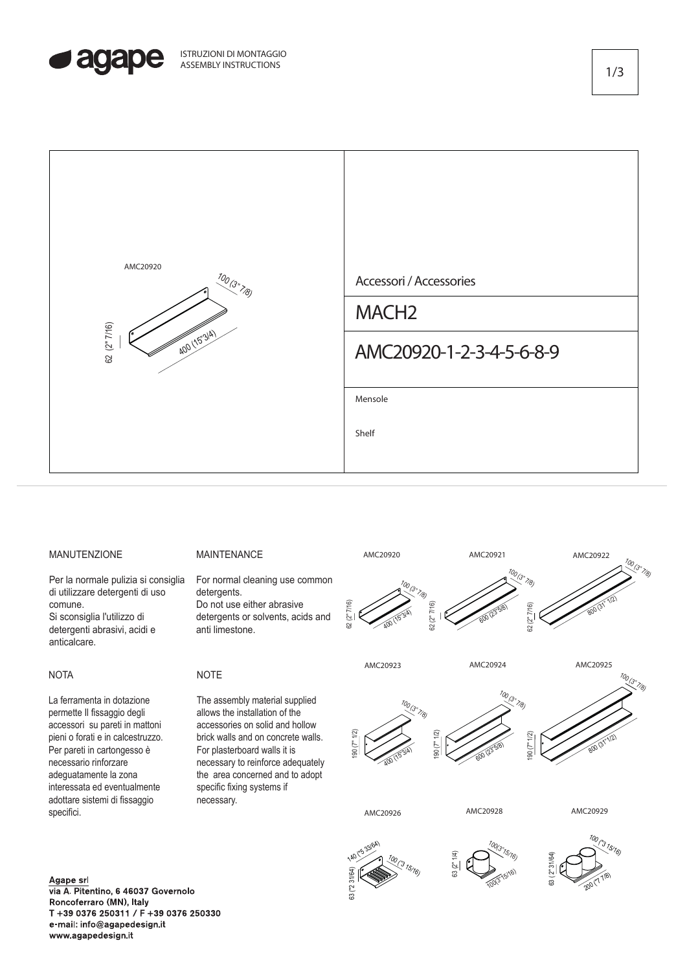



## MANUTENZIONE

Per la normale pulizia si consiglia di utilizzare detergenti di uso comune. Si sconsiglia l'utilizzo di detergenti abrasivi, acidi e anticalcare.

## **NOTA**

La ferramenta in dotazione permette Il fissaggio degli accessori su pareti in mattoni pieni o forati e in calcestruzzo. Per pareti in cartongesso è necessario rinforzare adeguatamente la zona interessata ed eventualmente adottare sistemi di fissaggio specifici.

## MAINTENANCE

For normal cleaning use common detergents. Do not use either abrasive detergents or solvents, acids and anti limestone.

## **NOTE**

The assembly material supplied allows the installation of the accessories on solid and hollow brick walls and on concrete walls. For plasterboard walls it is necessary to reinforce adequately the area concerned and to adopt specific fixing systems if necessary.



100 (3" 7/8)

190 (7" 1/2)

 $700$ 

800 (31"1/2)

("3 15/16)



400 (15"3/4)

190 (7" 1/2)

63 ("2 31/64)

140 ("5 33/64)

190 (7" 1/2)

100 (3" 7/8)

600 (23"5/8)

**AMC20928 AMC20929**





1/3

Agape srl via A. Pitentino, 6 46037 Governolo Roncoferraro (MN), Italy T +39 0376 250311 / F +39 0376 250330 e-mail: info@agapedesign.it www.agapedesign.it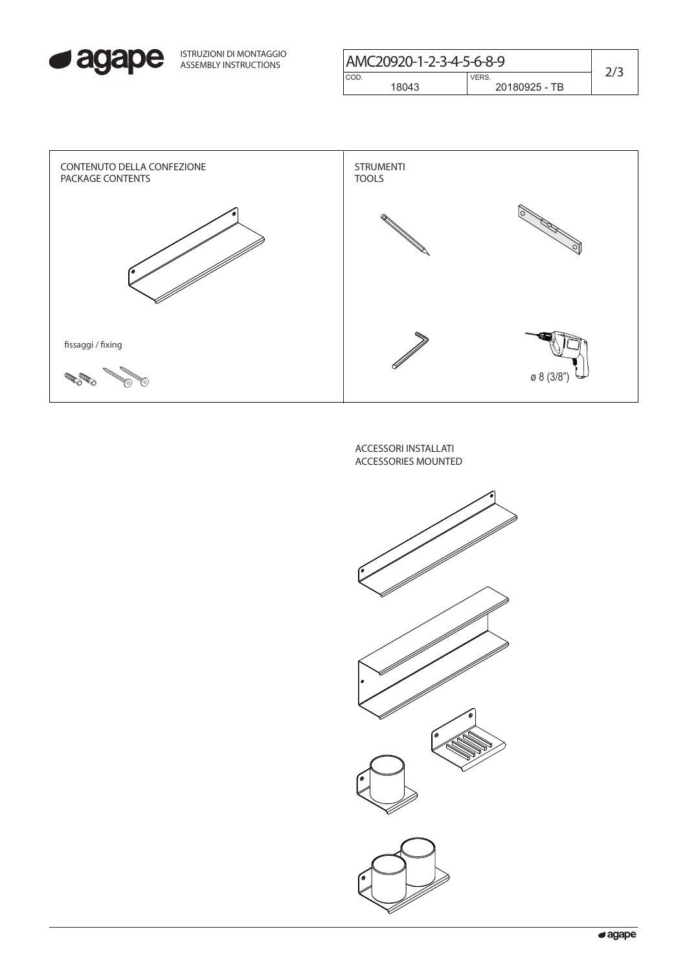

| ISTRUZIONI DI MONTAGGIO<br>ASSEMBLY INSTRUCTIONS | AMC20920-1-2-3-4-5-6-8-9 |               |  |
|--------------------------------------------------|--------------------------|---------------|--|
|                                                  | CO <sub>D</sub>          | <b>VERS</b>   |  |
|                                                  | 18043                    | 20180925 - TB |  |
|                                                  |                          |               |  |



ACCESSORI INSTALLATI ACCESSORIES MOUNTED